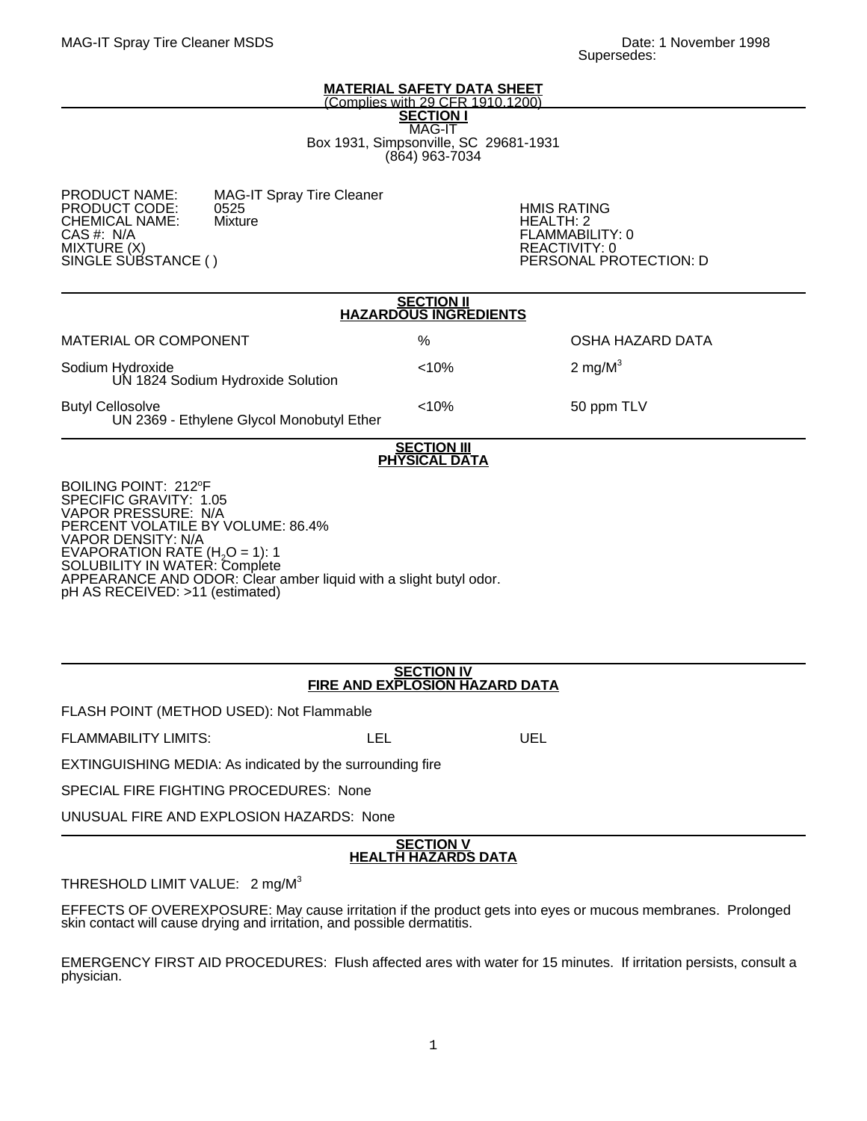### **MATERIAL SAFETY DATA SHEET** (Complies with 29 CFR 1910.1200)

**SECTION I** MAG-IT Box 1931, Simpsonville, SC 29681-1931 (864) 963-7034

MAG-IT Spray Tire Cleaner<br>0525 PRODUCT CODE: 0525 HMIS RATING CHEMICAL NAME: Mixture Name Health: 2 CAS #: N/A FLAMMABILITY: 0 MIXTURE (X)<br>SINGLE SUBSTANCE ( ) REACTIVITY: 0

PERSONAL PROTECTION: D

| <b>SECTION II</b><br><b>HAZARDOUS INGREDIENTS</b>                                                                                                                                                                             |       |                  |
|-------------------------------------------------------------------------------------------------------------------------------------------------------------------------------------------------------------------------------|-------|------------------|
| MATERIAL OR COMPONENT                                                                                                                                                                                                         | %     | OSHA HAZARD DATA |
| Sodium Hydroxide<br>UN 1824 Sodium Hydroxide Solution                                                                                                                                                                         | < 10% | 2 mg/ $M^3$      |
| <b>Butyl Cellosolve</b><br>UN 2369 - Ethylene Glycol Monobutyl Ether                                                                                                                                                          | < 10% | 50 ppm TLV       |
| <b>SECTION III</b><br><b>PHYSICAL DATA</b>                                                                                                                                                                                    |       |                  |
| BOILING POINT: 212°F<br>SPECIFIC GRAVITY: 1.05<br><b>VAPOR PRESSURE: N/A</b><br>PERCENT VOLATILE BY VOLUME: 86.4%<br><b>VAPOR DENSITY: N/A</b><br>EVAPORATION RATE (H <sub>2</sub> O = 1): 1<br>SOLUBILITY IN WATER: Complete |       |                  |

APPEARANCE AND ODOR: Clear amber liquid with a slight butyl odor. pH AS RECEIVED: >11 (estimated)

# **SECTION IV FIRE AND EXPLOSION HAZARD DATA**

FLASH POINT (METHOD USED): Not Flammable

FLAMMABILITY LIMITS: LEL LEL UEL

EXTINGUISHING MEDIA: As indicated by the surrounding fire

SPECIAL FIRE FIGHTING PROCEDURES: None

UNUSUAL FIRE AND EXPLOSION HAZARDS: None

# **SECTION V HEALTH HAZARDS DATA**

# THRESHOLD LIMIT VALUE: 2 mg/M<sup>3</sup>

EFFECTS OF OVEREXPOSURE: May cause irritation if the product gets into eyes or mucous membranes. Prolonged skin contact will cause drying and irritation, and possible dermatitis.

EMERGENCY FIRST AID PROCEDURES: Flush affected ares with water for 15 minutes. If irritation persists, consult a physician.